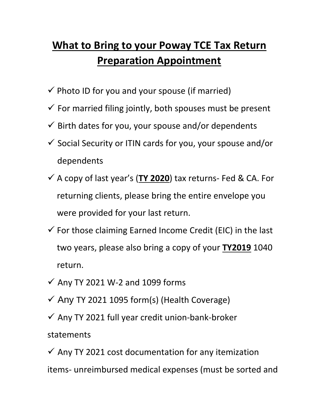## **What to Bring to your Poway TCE Tax Return Preparation Appointment**

- $\checkmark$  Photo ID for you and your spouse (if married)
- $\checkmark$  For married filing jointly, both spouses must be present
- $\checkmark$  Birth dates for you, your spouse and/or dependents
- $\checkmark$  Social Security or ITIN cards for you, your spouse and/or dependents
- ✓ A copy of last year's (**TY 2020**) tax returns- Fed & CA. For returning clients, please bring the entire envelope you were provided for your last return.
- $\checkmark$  For those claiming Earned Income Credit (EIC) in the last two years, please also bring a copy of your **TY2019** 1040 return.
- $\checkmark$  Any TY 2021 W-2 and 1099 forms
- $\checkmark$  Any TY 2021 1095 form(s) (Health Coverage)
- $\checkmark$  Any TY 2021 full year credit union-bank-broker

## statements

 $\checkmark$  Any TY 2021 cost documentation for any itemization items- unreimbursed medical expenses (must be sorted and